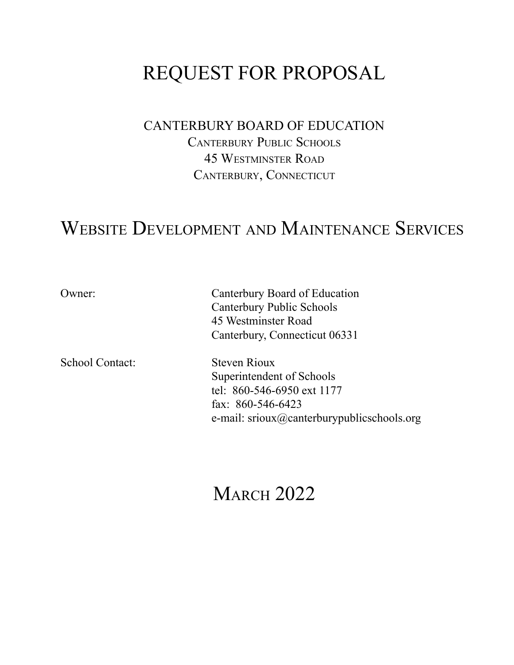# REQUEST FOR PROPOSAL

## CANTERBURY BOARD OF EDUCATION

CANTERBURY PUBLIC SCHOOLS 45 WESTMINSTER ROAD CANTERBURY, CONNECTICUT

## WEBSITE DEVELOPMENT AND MAINTENANCE SERVICES

School Contact: Steven Rioux

Owner: Canterbury Board of Education Canterbury Public Schools 45 Westminster Road Canterbury, Connecticut 06331

> Superintendent of Schools tel: 860-546-6950 ext 1177 fax: 860-546-6423 e-mail: srioux@canterburypublicschools.org

# **MARCH 2022**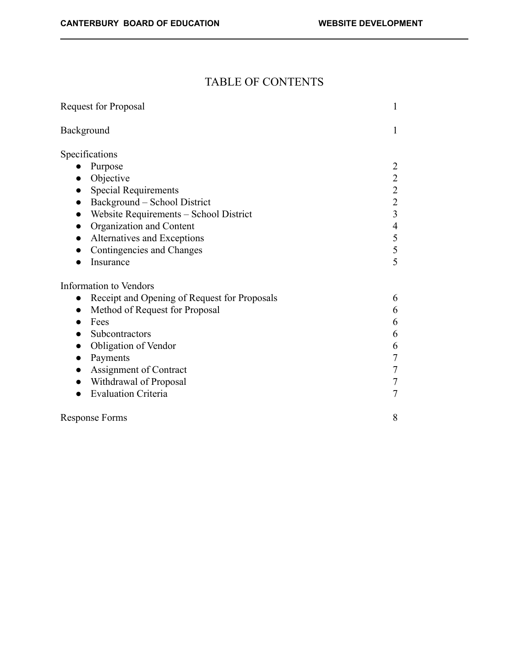## TABLE OF CONTENTS

| Request for Proposal                                      | $\mathbf{1}$            |
|-----------------------------------------------------------|-------------------------|
| Background                                                | 1                       |
| Specifications                                            |                         |
| Purpose                                                   | 2                       |
| Objective                                                 | $\frac{2}{2}$           |
| <b>Special Requirements</b>                               |                         |
| Background – School District                              | $\overline{c}$          |
| Website Requirements - School District                    | $\overline{\mathbf{3}}$ |
| Organization and Content                                  | $\overline{4}$          |
| Alternatives and Exceptions                               | 5                       |
| Contingencies and Changes                                 | 5                       |
| Insurance                                                 | 5                       |
| Information to Vendors                                    |                         |
| Receipt and Opening of Request for Proposals<br>$\bullet$ | 6                       |
| Method of Request for Proposal                            | 6                       |
| Fees                                                      | 6                       |
| Subcontractors                                            | 6                       |
| Obligation of Vendor                                      | 6                       |
| Payments<br>$\bullet$                                     | $\tau$                  |
| Assignment of Contract                                    | $\overline{7}$          |
| Withdrawal of Proposal                                    | 7                       |
| <b>Evaluation Criteria</b>                                | $\boldsymbol{7}$        |
| Response Forms                                            | 8                       |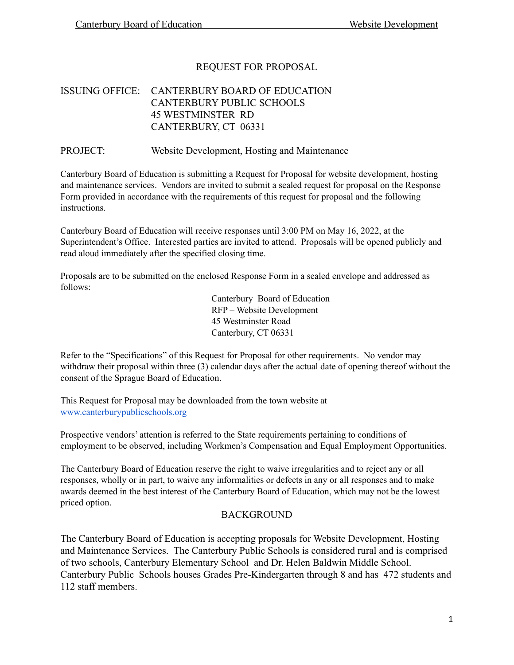## REQUEST FOR PROPOSAL

## ISSUING OFFICE: CANTERBURY BOARD OF EDUCATION CANTERBURY PUBLIC SCHOOLS 45 WESTMINSTER RD CANTERBURY, CT 06331

PROJECT: Website Development, Hosting and Maintenance

Canterbury Board of Education is submitting a Request for Proposal for website development, hosting and maintenance services. Vendors are invited to submit a sealed request for proposal on the Response Form provided in accordance with the requirements of this request for proposal and the following instructions.

Canterbury Board of Education will receive responses until 3:00 PM on May 16, 2022, at the Superintendent's Office. Interested parties are invited to attend. Proposals will be opened publicly and read aloud immediately after the specified closing time.

Proposals are to be submitted on the enclosed Response Form in a sealed envelope and addressed as follows:

> Canterbury Board of Education RFP – Website Development 45 Westminster Road Canterbury, CT 06331

Refer to the "Specifications" of this Request for Proposal for other requirements. No vendor may withdraw their proposal within three (3) calendar days after the actual date of opening thereof without the consent of the Sprague Board of Education.

This Request for Proposal may be downloaded from the town website at [www.canterburypublicschools.org](http://www.canterburypublicschoolsl.org)

Prospective vendors' attention is referred to the State requirements pertaining to conditions of employment to be observed, including Workmen's Compensation and Equal Employment Opportunities.

The Canterbury Board of Education reserve the right to waive irregularities and to reject any or all responses, wholly or in part, to waive any informalities or defects in any or all responses and to make awards deemed in the best interest of the Canterbury Board of Education, which may not be the lowest priced option.

#### **BACKGROUND**

The Canterbury Board of Education is accepting proposals for Website Development, Hosting and Maintenance Services. The Canterbury Public Schools is considered rural and is comprised of two schools, Canterbury Elementary School and Dr. Helen Baldwin Middle School. Canterbury Public Schools houses Grades Pre-Kindergarten through 8 and has 472 students and 112 staff members.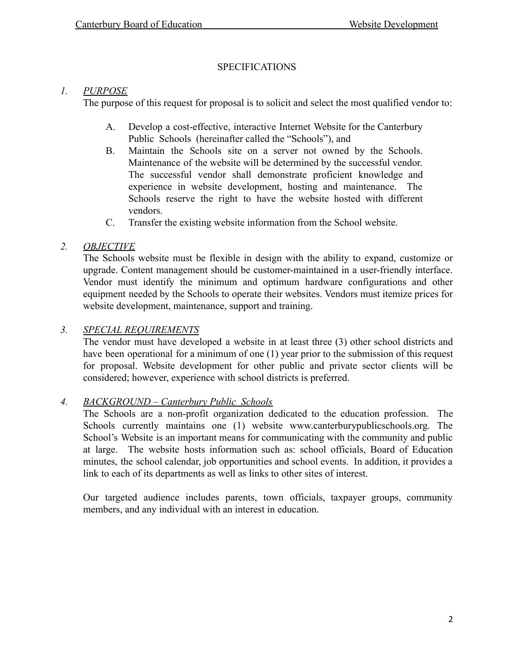## SPECIFICATIONS

## *1. PURPOSE*

The purpose of this request for proposal is to solicit and select the most qualified vendor to:

- A. Develop a cost-effective, interactive Internet Website for the Canterbury Public Schools (hereinafter called the "Schools"), and
- B. Maintain the Schools site on a server not owned by the Schools. Maintenance of the website will be determined by the successful vendor. The successful vendor shall demonstrate proficient knowledge and experience in website development, hosting and maintenance. The Schools reserve the right to have the website hosted with different vendors.
- C. Transfer the existing website information from the School website.

## *2. OBJECTIVE*

The Schools website must be flexible in design with the ability to expand, customize or upgrade. Content management should be customer-maintained in a user-friendly interface. Vendor must identify the minimum and optimum hardware configurations and other equipment needed by the Schools to operate their websites. Vendors must itemize prices for website development, maintenance, support and training.

## *3. SPECIAL REQUIREMENTS*

The vendor must have developed a website in at least three (3) other school districts and have been operational for a minimum of one (1) year prior to the submission of this request for proposal. Website development for other public and private sector clients will be considered; however, experience with school districts is preferred.

## *4. BACKGROUND – Canterbury Public Schools*

The Schools are a non-profit organization dedicated to the education profession. The Schools currently maintains one (1) website www.canterburypublicschools.org. The School's Website is an important means for communicating with the community and public at large. The website hosts information such as: school officials, Board of Education minutes, the school calendar, job opportunities and school events. In addition, it provides a link to each of its departments as well as links to other sites of interest.

Our targeted audience includes parents, town officials, taxpayer groups, community members, and any individual with an interest in education.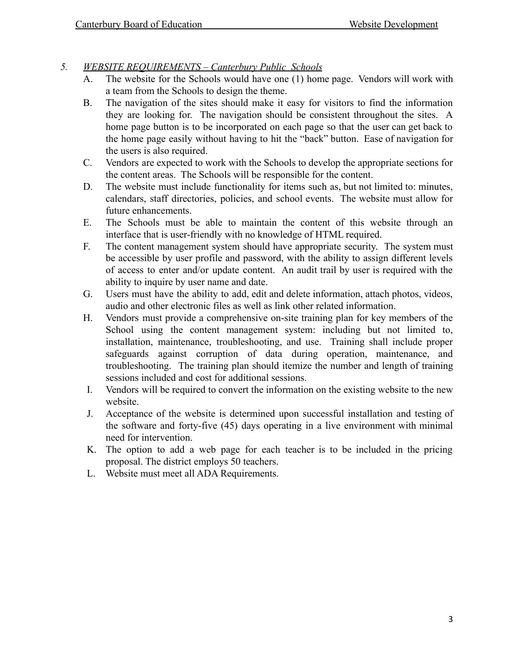- *5. WEBSITE REQUIREMENTS Canterbury Public Schools*
	- A. The website for the Schools would have one (1) home page. Vendors will work with a team from the Schools to design the theme.
	- B. The navigation of the sites should make it easy for visitors to find the information they are looking for. The navigation should be consistent throughout the sites. A home page button is to be incorporated on each page so that the user can get back to the home page easily without having to hit the "back" button. Ease of navigation for the users is also required.
	- C. Vendors are expected to work with the Schools to develop the appropriate sections for the content areas. The Schools will be responsible for the content.
	- D. The website must include functionality for items such as, but not limited to: minutes, calendars, staff directories, policies, and school events. The website must allow for future enhancements.
	- E. The Schools must be able to maintain the content of this website through an interface that is user-friendly with no knowledge of HTML required.
	- F. The content management system should have appropriate security. The system must be accessible by user profile and password, with the ability to assign different levels of access to enter and/or update content. An audit trail by user is required with the ability to inquire by user name and date.
	- G. Users must have the ability to add, edit and delete information, attach photos, videos, audio and other electronic files as well as link other related information.
	- H. Vendors must provide a comprehensive on-site training plan for key members of the School using the content management system: including but not limited to, installation, maintenance, troubleshooting, and use. Training shall include proper safeguards against corruption of data during operation, maintenance, and troubleshooting. The training plan should itemize the number and length of training sessions included and cost for additional sessions.
	- I. Vendors will be required to convert the information on the existing website to the new website.
	- J. Acceptance of the website is determined upon successful installation and testing of the software and forty-five (45) days operating in a live environment with minimal need for intervention.
	- K. The option to add a web page for each teacher is to be included in the pricing proposal. The district employs 50 teachers.
	- L. Website must meet all ADA Requirements.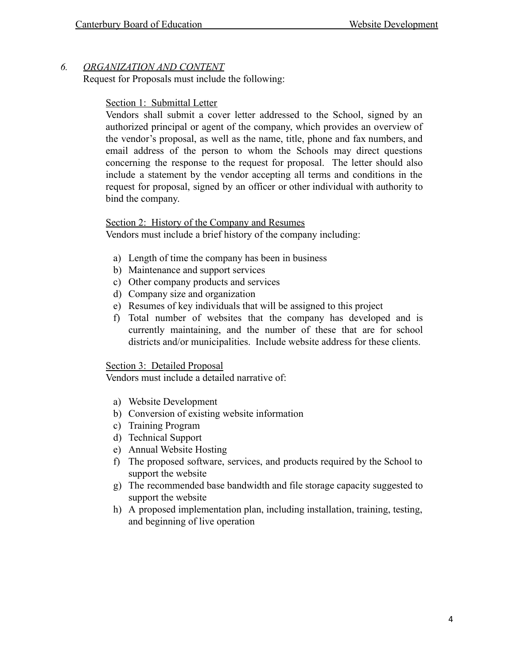## *6. ORGANIZATION AND CONTENT*

Request for Proposals must include the following:

## Section 1: Submittal Letter

Vendors shall submit a cover letter addressed to the School, signed by an authorized principal or agent of the company, which provides an overview of the vendor's proposal, as well as the name, title, phone and fax numbers, and email address of the person to whom the Schools may direct questions concerning the response to the request for proposal. The letter should also include a statement by the vendor accepting all terms and conditions in the request for proposal, signed by an officer or other individual with authority to bind the company.

#### Section 2: History of the Company and Resumes

Vendors must include a brief history of the company including:

- a) Length of time the company has been in business
- b) Maintenance and support services
- c) Other company products and services
- d) Company size and organization
- e) Resumes of key individuals that will be assigned to this project
- f) Total number of websites that the company has developed and is currently maintaining, and the number of these that are for school districts and/or municipalities. Include website address for these clients.

#### Section 3: Detailed Proposal

Vendors must include a detailed narrative of:

- a) Website Development
- b) Conversion of existing website information
- c) Training Program
- d) Technical Support
- e) Annual Website Hosting
- f) The proposed software, services, and products required by the School to support the website
- g) The recommended base bandwidth and file storage capacity suggested to support the website
- h) A proposed implementation plan, including installation, training, testing, and beginning of live operation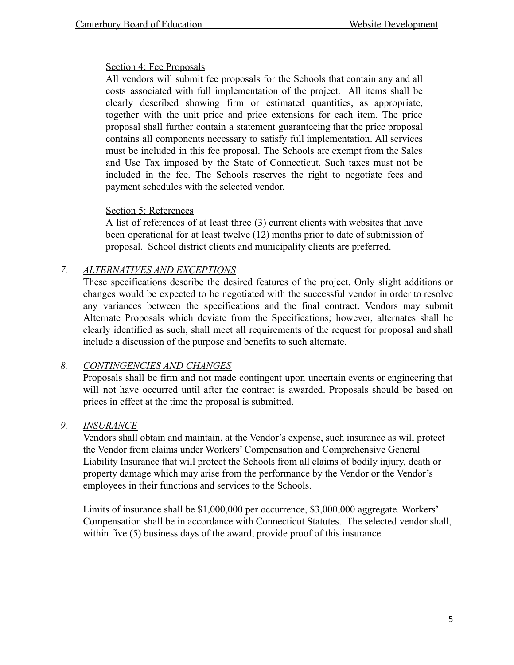## Section 4: Fee Proposals

All vendors will submit fee proposals for the Schools that contain any and all costs associated with full implementation of the project. All items shall be clearly described showing firm or estimated quantities, as appropriate, together with the unit price and price extensions for each item. The price proposal shall further contain a statement guaranteeing that the price proposal contains all components necessary to satisfy full implementation. All services must be included in this fee proposal. The Schools are exempt from the Sales and Use Tax imposed by the State of Connecticut. Such taxes must not be included in the fee. The Schools reserves the right to negotiate fees and payment schedules with the selected vendor.

## Section 5: References

A list of references of at least three (3) current clients with websites that have been operational for at least twelve (12) months prior to date of submission of proposal. School district clients and municipality clients are preferred.

## *7. ALTERNATIVES AND EXCEPTIONS*

These specifications describe the desired features of the project. Only slight additions or changes would be expected to be negotiated with the successful vendor in order to resolve any variances between the specifications and the final contract. Vendors may submit Alternate Proposals which deviate from the Specifications; however, alternates shall be clearly identified as such, shall meet all requirements of the request for proposal and shall include a discussion of the purpose and benefits to such alternate.

## *8. CONTINGENCIES AND CHANGES*

Proposals shall be firm and not made contingent upon uncertain events or engineering that will not have occurred until after the contract is awarded. Proposals should be based on prices in effect at the time the proposal is submitted.

## *9. INSURANCE*

Vendors shall obtain and maintain, at the Vendor's expense, such insurance as will protect the Vendor from claims under Workers' Compensation and Comprehensive General Liability Insurance that will protect the Schools from all claims of bodily injury, death or property damage which may arise from the performance by the Vendor or the Vendor's employees in their functions and services to the Schools.

Limits of insurance shall be \$1,000,000 per occurrence, \$3,000,000 aggregate. Workers' Compensation shall be in accordance with Connecticut Statutes. The selected vendor shall, within five (5) business days of the award, provide proof of this insurance.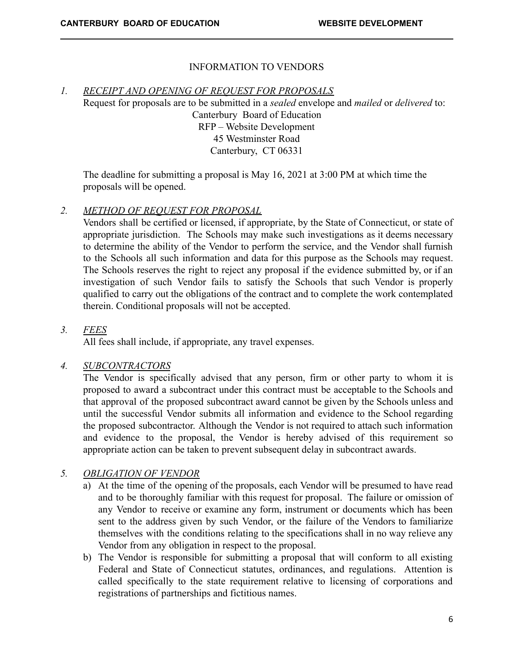## INFORMATION TO VENDORS

#### *1. RECEIPT AND OPENING OF REQUEST FOR PROPOSALS*

Request for proposals are to be submitted in a *sealed* envelope and *mailed* or *delivered* to: Canterbury Board of Education RFP – Website Development 45 Westminster Road Canterbury, CT 06331

The deadline for submitting a proposal is May 16, 2021 at 3:00 PM at which time the proposals will be opened.

#### *2. METHOD OF REQUEST FOR PROPOSAL*

Vendors shall be certified or licensed, if appropriate, by the State of Connecticut, or state of appropriate jurisdiction. The Schools may make such investigations as it deems necessary to determine the ability of the Vendor to perform the service, and the Vendor shall furnish to the Schools all such information and data for this purpose as the Schools may request. The Schools reserves the right to reject any proposal if the evidence submitted by, or if an investigation of such Vendor fails to satisfy the Schools that such Vendor is properly qualified to carry out the obligations of the contract and to complete the work contemplated therein. Conditional proposals will not be accepted.

#### *3. FEES*

All fees shall include, if appropriate, any travel expenses.

#### *4. SUBCONTRACTORS*

The Vendor is specifically advised that any person, firm or other party to whom it is proposed to award a subcontract under this contract must be acceptable to the Schools and that approval of the proposed subcontract award cannot be given by the Schools unless and until the successful Vendor submits all information and evidence to the School regarding the proposed subcontractor. Although the Vendor is not required to attach such information and evidence to the proposal, the Vendor is hereby advised of this requirement so appropriate action can be taken to prevent subsequent delay in subcontract awards.

## *5. OBLIGATION OF VENDOR*

- a) At the time of the opening of the proposals, each Vendor will be presumed to have read and to be thoroughly familiar with this request for proposal. The failure or omission of any Vendor to receive or examine any form, instrument or documents which has been sent to the address given by such Vendor, or the failure of the Vendors to familiarize themselves with the conditions relating to the specifications shall in no way relieve any Vendor from any obligation in respect to the proposal.
- b) The Vendor is responsible for submitting a proposal that will conform to all existing Federal and State of Connecticut statutes, ordinances, and regulations. Attention is called specifically to the state requirement relative to licensing of corporations and registrations of partnerships and fictitious names.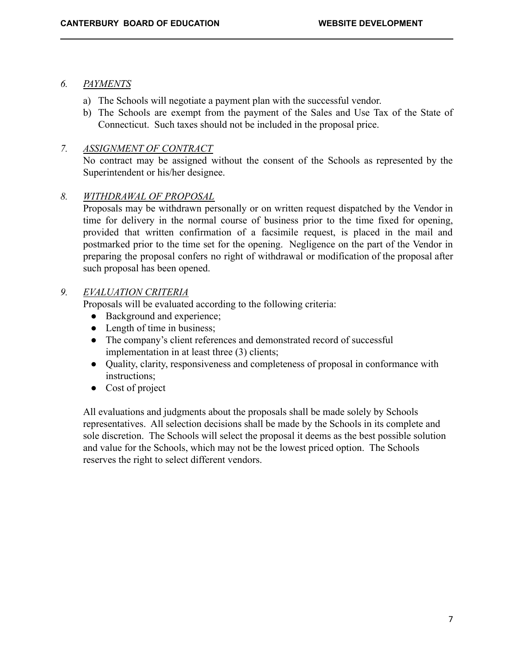## *6. PAYMENTS*

- a) The Schools will negotiate a payment plan with the successful vendor.
- b) The Schools are exempt from the payment of the Sales and Use Tax of the State of Connecticut. Such taxes should not be included in the proposal price.

## *7. ASSIGNMENT OF CONTRACT*

No contract may be assigned without the consent of the Schools as represented by the Superintendent or his/her designee.

## *8. WITHDRAWAL OF PROPOSAL*

Proposals may be withdrawn personally or on written request dispatched by the Vendor in time for delivery in the normal course of business prior to the time fixed for opening, provided that written confirmation of a facsimile request, is placed in the mail and postmarked prior to the time set for the opening. Negligence on the part of the Vendor in preparing the proposal confers no right of withdrawal or modification of the proposal after such proposal has been opened.

#### *9. EVALUATION CRITERIA*

Proposals will be evaluated according to the following criteria:

- Background and experience;
- $\bullet$  Length of time in business;
- The company's client references and demonstrated record of successful implementation in at least three (3) clients;
- Quality, clarity, responsiveness and completeness of proposal in conformance with instructions;
- Cost of project

All evaluations and judgments about the proposals shall be made solely by Schools representatives. All selection decisions shall be made by the Schools in its complete and sole discretion. The Schools will select the proposal it deems as the best possible solution and value for the Schools, which may not be the lowest priced option. The Schools reserves the right to select different vendors.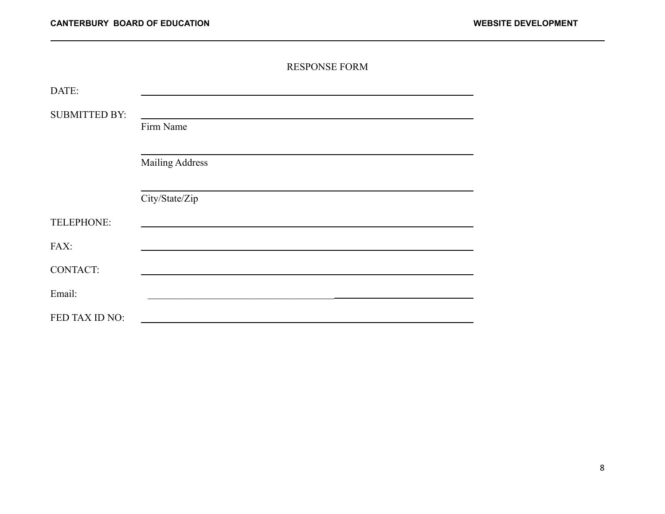|                      | <b>RESPONSE FORM</b>   |
|----------------------|------------------------|
| DATE:                |                        |
| <b>SUBMITTED BY:</b> |                        |
|                      | Firm Name              |
|                      |                        |
|                      | <b>Mailing Address</b> |
|                      |                        |
|                      | City/State/Zip         |
| TELEPHONE:           |                        |
| FAX:                 |                        |
| <b>CONTACT:</b>      |                        |
| Email:               |                        |
| FED TAX ID NO:       |                        |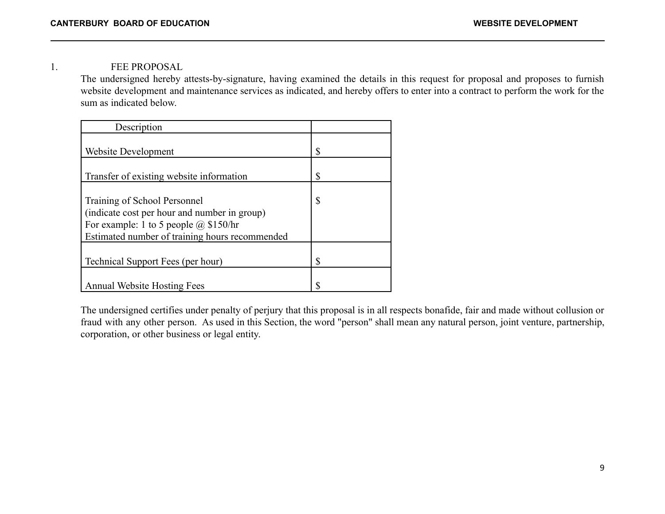1. FEE PROPOSAL

The undersigned hereby attests-by-signature, having examined the details in this request for proposal and proposes to furnish website development and maintenance services as indicated, and hereby offers to enter into a contract to perform the work for the sum as indicated below.

| Description                                    |    |
|------------------------------------------------|----|
| Website Development                            | \$ |
| Transfer of existing website information       | \$ |
| Training of School Personnel                   | \$ |
| (indicate cost per hour and number in group)   |    |
| For example: 1 to 5 people $@$ \$150/hr        |    |
| Estimated number of training hours recommended |    |
| Technical Support Fees (per hour)              | \$ |
|                                                |    |
| <b>Annual Website Hosting Fees</b>             | S  |

The undersigned certifies under penalty of perjury that this proposal is in all respects bonafide, fair and made without collusion or fraud with any other person. As used in this Section, the word "person" shall mean any natural person, joint venture, partnership, corporation, or other business or legal entity.